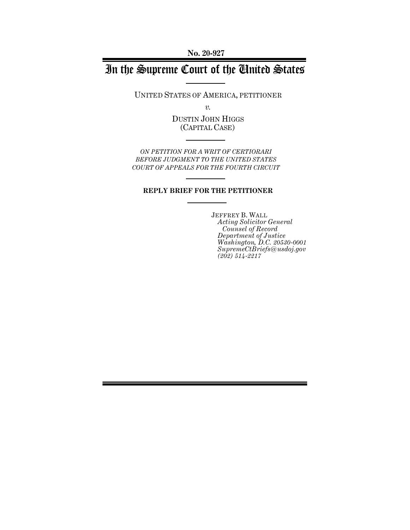**No. 20-927**

# In the Supreme Court of the United States

UNITED STATES OF AMERICA, PETITIONER

*v.*

DUSTIN JOHN HIGGS (CAPITAL CASE)

*ON PETITION FOR A WRIT OF CERTIORARI BEFORE JUDGMENT TO THE UNITED STATES COURT OF APPEALS FOR THE FOURTH CIRCUIT*

#### **REPLY BRIEF FOR THE PETITIONER**

JEFFREY B. WALL *Acting Solicitor General Counsel of Record Department of Justice Washington, D.C. 20530-0001 SupremeCtBriefs@usdoj.gov (202) 514-2217*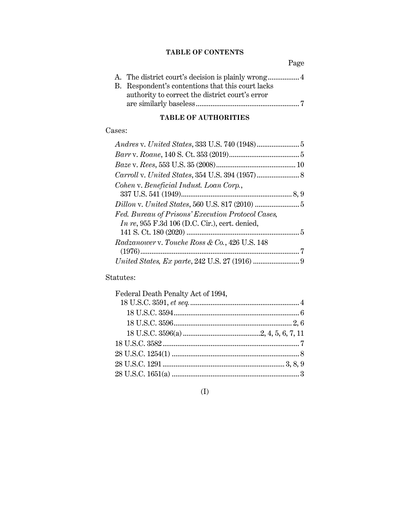### **TABLE OF CONTENTS**

Page

| B. Respondent's contentions that this court lacks |
|---------------------------------------------------|
| authority to correct the district court's error   |
|                                                   |

### **TABLE OF AUTHORITIES**

### Cases:

| Cohen v. Beneficial Indust. Loan Corp.,                                                               |  |
|-------------------------------------------------------------------------------------------------------|--|
|                                                                                                       |  |
| Fed. Bureau of Prisons' Execution Protocol Cases,<br>In re, $955$ F.3d 106 (D.C. Cir.), cert. denied, |  |
| Radzanower v. Touche Ross & Co., 426 U.S. 148                                                         |  |
|                                                                                                       |  |
|                                                                                                       |  |

### Statutes:

| Federal Death Penalty Act of 1994, |  |
|------------------------------------|--|
|                                    |  |
|                                    |  |
|                                    |  |
|                                    |  |
|                                    |  |
|                                    |  |
|                                    |  |
|                                    |  |
|                                    |  |

### (I)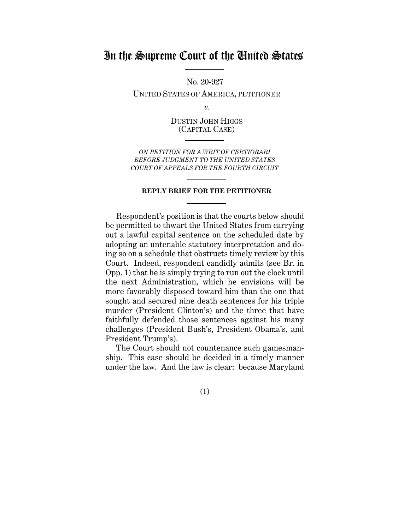## In the Supreme Court of the United States

No. 20-927

UNITED STATES OF AMERICA, PETITIONER

*v.*

DUSTIN JOHN HIGGS (CAPITAL CASE)

*ON PETITION FOR A WRIT OF CERTIORARI BEFORE JUDGMENT TO THE UNITED STATES COURT OF APPEALS FOR THE FOURTH CIRCUIT*

#### **REPLY BRIEF FOR THE PETITIONER**

Respondent's position is that the courts below should be permitted to thwart the United States from carrying out a lawful capital sentence on the scheduled date by adopting an untenable statutory interpretation and doing so on a schedule that obstructs timely review by this Court. Indeed, respondent candidly admits (see Br. in Opp. 1) that he is simply trying to run out the clock until the next Administration, which he envisions will be more favorably disposed toward him than the one that sought and secured nine death sentences for his triple murder (President Clinton's) and the three that have faithfully defended those sentences against his many challenges (President Bush's, President Obama's, and President Trump's).

The Court should not countenance such gamesmanship. This case should be decided in a timely manner under the law. And the law is clear: because Maryland

(1)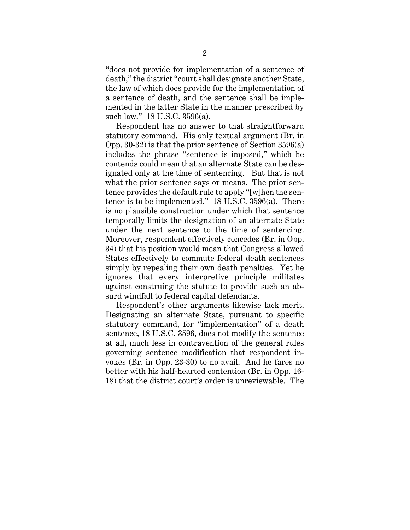"does not provide for implementation of a sentence of death," the district "court shall designate another State, the law of which does provide for the implementation of a sentence of death, and the sentence shall be implemented in the latter State in the manner prescribed by such law." 18 U.S.C. 3596(a).

Respondent has no answer to that straightforward statutory command. His only textual argument (Br. in Opp. 30-32) is that the prior sentence of Section 3596(a) includes the phrase "sentence is imposed," which he contends could mean that an alternate State can be designated only at the time of sentencing. But that is not what the prior sentence says or means. The prior sentence provides the default rule to apply "[w]hen the sentence is to be implemented." 18 U.S.C. 3596(a). There is no plausible construction under which that sentence temporally limits the designation of an alternate State under the next sentence to the time of sentencing. Moreover, respondent effectively concedes (Br. in Opp. 34) that his position would mean that Congress allowed States effectively to commute federal death sentences simply by repealing their own death penalties. Yet he ignores that every interpretive principle militates against construing the statute to provide such an absurd windfall to federal capital defendants.

Respondent's other arguments likewise lack merit. Designating an alternate State, pursuant to specific statutory command, for "implementation" of a death sentence, 18 U.S.C. 3596, does not modify the sentence at all, much less in contravention of the general rules governing sentence modification that respondent invokes (Br. in Opp. 23-30) to no avail. And he fares no better with his half-hearted contention (Br. in Opp. 16- 18) that the district court's order is unreviewable. The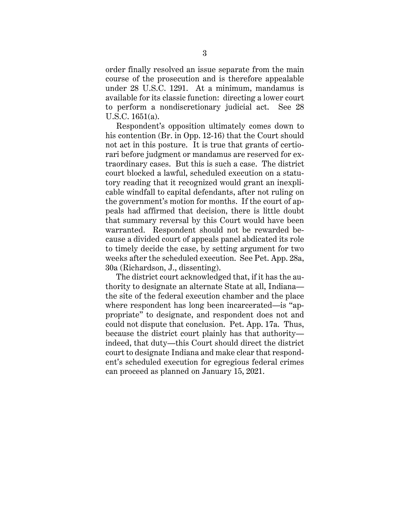order finally resolved an issue separate from the main course of the prosecution and is therefore appealable under 28 U.S.C. 1291. At a minimum, mandamus is available for its classic function: directing a lower court to perform a nondiscretionary judicial act. See 28 U.S.C. 1651(a).

Respondent's opposition ultimately comes down to his contention (Br. in Opp. 12-16) that the Court should not act in this posture. It is true that grants of certiorari before judgment or mandamus are reserved for extraordinary cases. But this is such a case. The district court blocked a lawful, scheduled execution on a statutory reading that it recognized would grant an inexplicable windfall to capital defendants, after not ruling on the government's motion for months. If the court of appeals had affirmed that decision, there is little doubt that summary reversal by this Court would have been warranted. Respondent should not be rewarded because a divided court of appeals panel abdicated its role to timely decide the case, by setting argument for two weeks after the scheduled execution. See Pet. App. 28a, 30a (Richardson, J., dissenting).

The district court acknowledged that, if it has the authority to designate an alternate State at all, Indiana the site of the federal execution chamber and the place where respondent has long been incarcerated—is "appropriate" to designate, and respondent does not and could not dispute that conclusion. Pet. App. 17a. Thus, because the district court plainly has that authority indeed, that duty—this Court should direct the district court to designate Indiana and make clear that respondent's scheduled execution for egregious federal crimes can proceed as planned on January 15, 2021.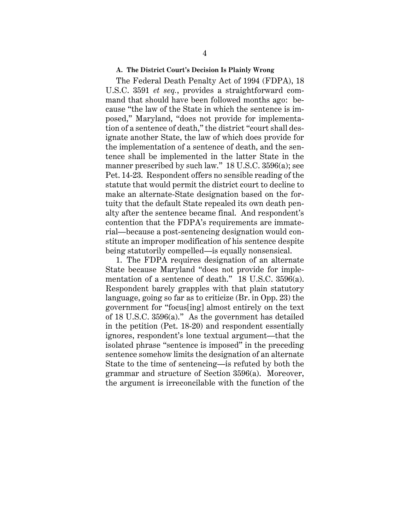#### **A. The District Court's Decision Is Plainly Wrong**

The Federal Death Penalty Act of 1994 (FDPA), 18 U.S.C. 3591 *et seq.*, provides a straightforward command that should have been followed months ago: because "the law of the State in which the sentence is imposed," Maryland, "does not provide for implementation of a sentence of death," the district "court shall designate another State, the law of which does provide for the implementation of a sentence of death, and the sentence shall be implemented in the latter State in the manner prescribed by such law." 18 U.S.C. 3596(a); see Pet. 14-23. Respondent offers no sensible reading of the statute that would permit the district court to decline to make an alternate-State designation based on the fortuity that the default State repealed its own death penalty after the sentence became final. And respondent's contention that the FDPA's requirements are immaterial—because a post-sentencing designation would constitute an improper modification of his sentence despite being statutorily compelled—is equally nonsensical.

1. The FDPA requires designation of an alternate State because Maryland "does not provide for implementation of a sentence of death." 18 U.S.C. 3596(a). Respondent barely grapples with that plain statutory language, going so far as to criticize (Br. in Opp. 23) the government for "focus[ing] almost entirely on the text of 18 U.S.C. 3596(a)." As the government has detailed in the petition (Pet. 18-20) and respondent essentially ignores, respondent's lone textual argument—that the isolated phrase "sentence is imposed" in the preceding sentence somehow limits the designation of an alternate State to the time of sentencing—is refuted by both the grammar and structure of Section 3596(a). Moreover, the argument is irreconcilable with the function of the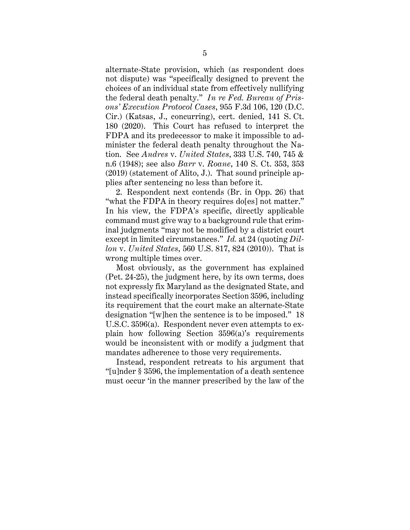alternate-State provision, which (as respondent does not dispute) was "specifically designed to prevent the choices of an individual state from effectively nullifying the federal death penalty." *In re Fed. Bureau of Prisons' Execution Protocol Cases*, 955 F.3d 106, 120 (D.C. Cir.) (Katsas, J., concurring), cert. denied, 141 S. Ct. 180 (2020). This Court has refused to interpret the FDPA and its predecessor to make it impossible to administer the federal death penalty throughout the Nation. See *Andres* v. *United States*, 333 U.S. 740, 745 & n.6 (1948); see also *Barr* v. *Roane*, 140 S. Ct. 353, 353 (2019) (statement of Alito, J.). That sound principle applies after sentencing no less than before it.

2. Respondent next contends (Br. in Opp. 26) that "what the FDPA in theory requires do[es] not matter." In his view, the FDPA's specific, directly applicable command must give way to a background rule that criminal judgments "may not be modified by a district court except in limited circumstances." *Id.* at 24 (quoting *Dillon* v. *United States*, 560 U.S. 817, 824 (2010)). That is wrong multiple times over.

Most obviously, as the government has explained (Pet. 24-25), the judgment here, by its own terms, does not expressly fix Maryland as the designated State, and instead specifically incorporates Section 3596, including its requirement that the court make an alternate-State designation "[w]hen the sentence is to be imposed." 18 U.S.C. 3596(a). Respondent never even attempts to explain how following Section 3596(a)'s requirements would be inconsistent with or modify a judgment that mandates adherence to those very requirements.

Instead, respondent retreats to his argument that "[u]nder § 3596, the implementation of a death sentence must occur 'in the manner prescribed by the law of the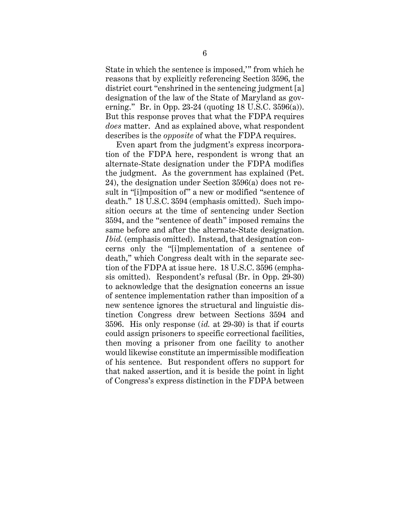State in which the sentence is imposed,'" from which he reasons that by explicitly referencing Section 3596, the district court "enshrined in the sentencing judgment [a] designation of the law of the State of Maryland as governing." Br. in Opp. 23-24 (quoting 18 U.S.C. 3596(a)). But this response proves that what the FDPA requires *does* matter. And as explained above, what respondent describes is the *opposite* of what the FDPA requires.

Even apart from the judgment's express incorporation of the FDPA here, respondent is wrong that an alternate-State designation under the FDPA modifies the judgment. As the government has explained (Pet. 24), the designation under Section 3596(a) does not result in "[i]mposition of" a new or modified "sentence of death." 18 U.S.C. 3594 (emphasis omitted). Such imposition occurs at the time of sentencing under Section 3594, and the "sentence of death" imposed remains the same before and after the alternate-State designation. *Ibid.* (emphasis omitted). Instead, that designation concerns only the "[i]mplementation of a sentence of death," which Congress dealt with in the separate section of the FDPA at issue here. 18 U.S.C. 3596 (emphasis omitted). Respondent's refusal (Br. in Opp. 29-30) to acknowledge that the designation concerns an issue of sentence implementation rather than imposition of a new sentence ignores the structural and linguistic distinction Congress drew between Sections 3594 and 3596. His only response (*id.* at 29-30) is that if courts could assign prisoners to specific correctional facilities, then moving a prisoner from one facility to another would likewise constitute an impermissible modification of his sentence. But respondent offers no support for that naked assertion, and it is beside the point in light of Congress's express distinction in the FDPA between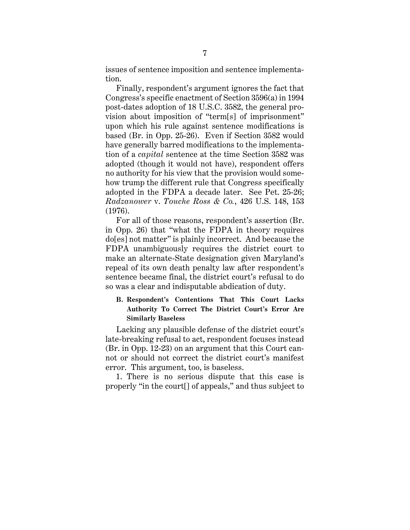issues of sentence imposition and sentence implementation.

Finally, respondent's argument ignores the fact that Congress's specific enactment of Section 3596(a) in 1994 post-dates adoption of 18 U.S.C. 3582, the general provision about imposition of "term[s] of imprisonment" upon which his rule against sentence modifications is based (Br. in Opp. 25-26). Even if Section 3582 would have generally barred modifications to the implementation of a *capital* sentence at the time Section 3582 was adopted (though it would not have), respondent offers no authority for his view that the provision would somehow trump the different rule that Congress specifically adopted in the FDPA a decade later. See Pet. 25-26; *Radzanower* v. *Touche Ross & Co.*, 426 U.S. 148, 153 (1976).

For all of those reasons, respondent's assertion (Br. in Opp. 26) that "what the FDPA in theory requires do[es] not matter" is plainly incorrect. And because the FDPA unambiguously requires the district court to make an alternate-State designation given Maryland's repeal of its own death penalty law after respondent's sentence became final, the district court's refusal to do so was a clear and indisputable abdication of duty.

### **B. Respondent's Contentions That This Court Lacks Authority To Correct The District Court's Error Are Similarly Baseless**

Lacking any plausible defense of the district court's late-breaking refusal to act, respondent focuses instead (Br. in Opp. 12-23) on an argument that this Court cannot or should not correct the district court's manifest error. This argument, too, is baseless.

1. There is no serious dispute that this case is properly "in the court[] of appeals," and thus subject to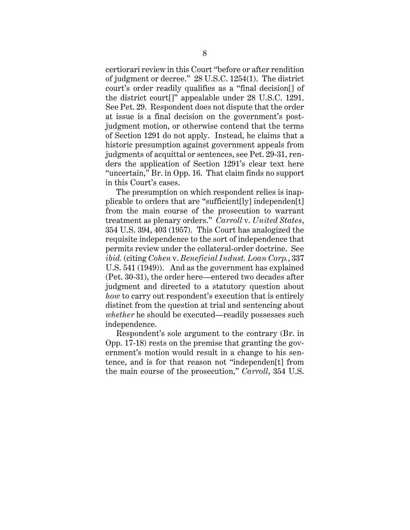certiorari review in this Court "before or after rendition of judgment or decree." 28 U.S.C. 1254(1). The district court's order readily qualifies as a "final decision[] of the district court[]" appealable under 28 U.S.C. 1291. See Pet. 29. Respondent does not dispute that the order at issue is a final decision on the government's postjudgment motion, or otherwise contend that the terms of Section 1291 do not apply. Instead, he claims that a historic presumption against government appeals from judgments of acquittal or sentences, see Pet. 29-31, renders the application of Section 1291's clear text here "uncertain," Br. in Opp. 16. That claim finds no support in this Court's cases.

The presumption on which respondent relies is inapplicable to orders that are "sufficient[ly] independen[t] from the main course of the prosecution to warrant treatment as plenary orders." *Carroll* v. *United States*, 354 U.S. 394, 403 (1957). This Court has analogized the requisite independence to the sort of independence that permits review under the collateral-order doctrine. See *ibid.* (citing *Cohen* v. *Beneficial Indust. Loan Corp.*, 337 U.S. 541 (1949)). And as the government has explained (Pet. 30-31), the order here—entered two decades after judgment and directed to a statutory question about *how* to carry out respondent's execution that is entirely distinct from the question at trial and sentencing about *whether* he should be executed—readily possesses such independence.

Respondent's sole argument to the contrary (Br. in Opp. 17-18) rests on the premise that granting the government's motion would result in a change to his sentence, and is for that reason not "independen[t] from the main course of the prosecution," *Carroll*, 354 U.S.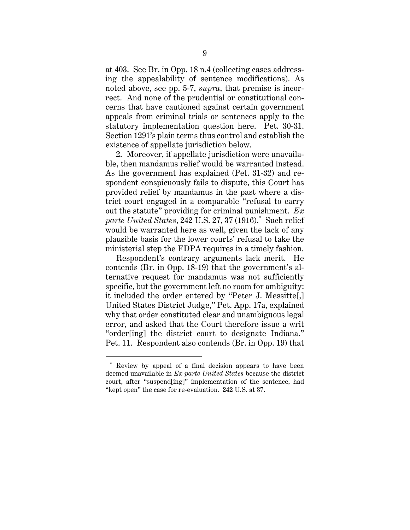at 403. See Br. in Opp. 18 n.4 (collecting cases addressing the appealability of sentence modifications). As noted above, see pp. 5-7, *supra*, that premise is incorrect. And none of the prudential or constitutional concerns that have cautioned against certain government appeals from criminal trials or sentences apply to the statutory implementation question here. Pet. 30-31. Section 1291's plain terms thus control and establish the existence of appellate jurisdiction below.

2. Moreover, if appellate jurisdiction were unavailable, then mandamus relief would be warranted instead. As the government has explained (Pet. 31-32) and respondent conspicuously fails to dispute, this Court has provided relief by mandamus in the past where a district court engaged in a comparable "refusal to carry out the statute" providing for criminal punishment. *Ex parte United States*, 242 U.S. 27, 37 (1916).\* Such relief would be warranted here as well, given the lack of any plausible basis for the lower courts' refusal to take the ministerial step the FDPA requires in a timely fashion.

Respondent's contrary arguments lack merit. He contends (Br. in Opp. 18-19) that the government's alternative request for mandamus was not sufficiently specific, but the government left no room for ambiguity: it included the order entered by "Peter J. Messitte[,] United States District Judge," Pet. App. 17a, explained why that order constituted clear and unambiguous legal error, and asked that the Court therefore issue a writ "order[ing] the district court to designate Indiana." Pet. 11. Respondent also contends (Br. in Opp. 19) that

 $\overline{a}$ 

<sup>\*</sup> Review by appeal of a final decision appears to have been deemed unavailable in *Ex parte United States* because the district court, after "suspend[ing]" implementation of the sentence, had "kept open" the case for re-evaluation. 242 U.S. at 37.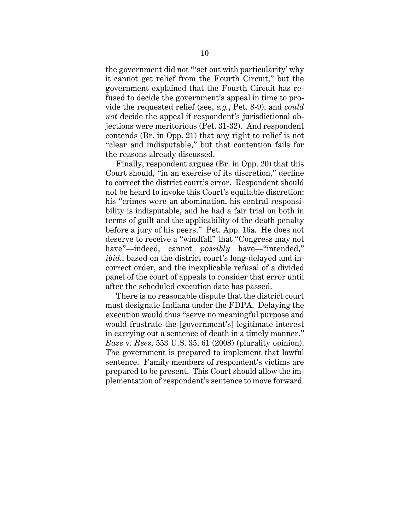the government did not "'set out with particularity' why it cannot get relief from the Fourth Circuit," but the government explained that the Fourth Circuit has refused to decide the government's appeal in time to provide the requested relief (see, *e.g.*, Pet. 8-9), and *could not* decide the appeal if respondent's jurisdictional objections were meritorious (Pet. 31-32). And respondent contends (Br. in Opp. 21) that any right to relief is not "clear and indisputable," but that contention fails for the reasons already discussed.

Finally, respondent argues (Br. in Opp. 20) that this Court should, "in an exercise of its discretion," decline to correct the district court's error. Respondent should not be heard to invoke this Court's equitable discretion: his "crimes were an abomination, his central responsibility is indisputable, and he had a fair trial on both in terms of guilt and the applicability of the death penalty before a jury of his peers." Pet. App. 16a. He does not deserve to receive a "windfall" that "Congress may not have"—indeed, cannot *possibly* have—"intended," *ibid.*, based on the district court's long-delayed and incorrect order, and the inexplicable refusal of a divided panel of the court of appeals to consider that error until after the scheduled execution date has passed.

There is no reasonable dispute that the district court must designate Indiana under the FDPA. Delaying the execution would thus "serve no meaningful purpose and would frustrate the [government's] legitimate interest in carrying out a sentence of death in a timely manner." *Baze* v. *Rees*, 553 U.S. 35, 61 (2008) (plurality opinion). The government is prepared to implement that lawful sentence. Family members of respondent's victims are prepared to be present. This Court should allow the implementation of respondent's sentence to move forward.